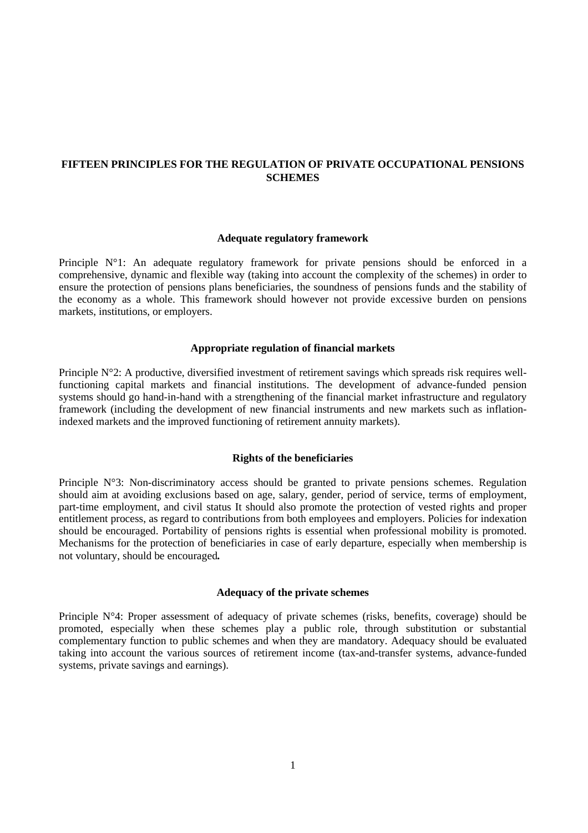# **FIFTEEN PRINCIPLES FOR THE REGULATION OF PRIVATE OCCUPATIONAL PENSIONS SCHEMES**

### **Adequate regulatory framework**

Principle N°1: An adequate regulatory framework for private pensions should be enforced in a comprehensive, dynamic and flexible way (taking into account the complexity of the schemes) in order to ensure the protection of pensions plans beneficiaries, the soundness of pensions funds and the stability of the economy as a whole. This framework should however not provide excessive burden on pensions markets, institutions, or employers.

### **Appropriate regulation of financial markets**

Principle N°2: A productive, diversified investment of retirement savings which spreads risk requires wellfunctioning capital markets and financial institutions. The development of advance-funded pension systems should go hand-in-hand with a strengthening of the financial market infrastructure and regulatory framework (including the development of new financial instruments and new markets such as inflationindexed markets and the improved functioning of retirement annuity markets).

### **Rights of the beneficiaries**

Principle N°3: Non-discriminatory access should be granted to private pensions schemes. Regulation should aim at avoiding exclusions based on age, salary, gender, period of service, terms of employment, part-time employment, and civil status It should also promote the protection of vested rights and proper entitlement process, as regard to contributions from both employees and employers. Policies for indexation should be encouraged. Portability of pensions rights is essential when professional mobility is promoted. Mechanisms for the protection of beneficiaries in case of early departure, especially when membership is not voluntary, should be encouraged*.*

### **Adequacy of the private schemes**

Principle N°4: Proper assessment of adequacy of private schemes (risks, benefits, coverage) should be promoted, especially when these schemes play a public role, through substitution or substantial complementary function to public schemes and when they are mandatory. Adequacy should be evaluated taking into account the various sources of retirement income (tax-and-transfer systems, advance-funded systems, private savings and earnings).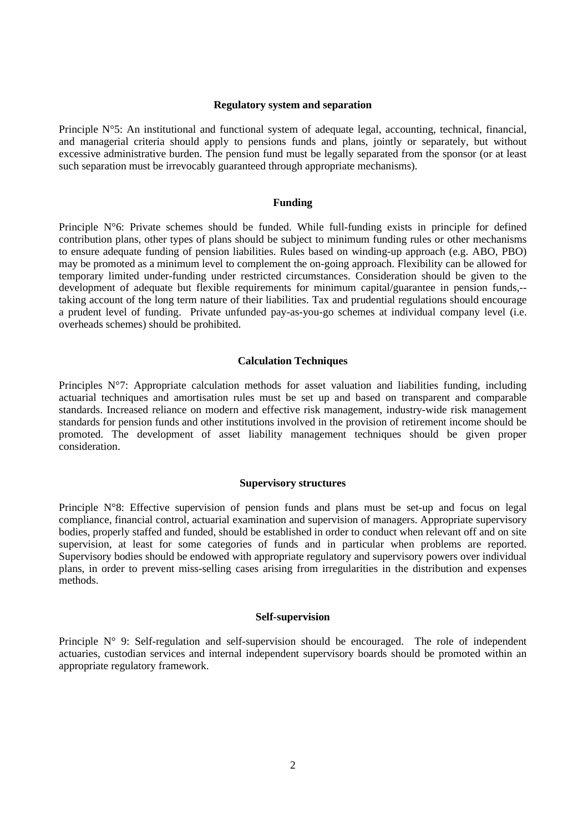### **Regulatory system and separation**

Principle N°5: An institutional and functional system of adequate legal, accounting, technical, financial, and managerial criteria should apply to pensions funds and plans, jointly or separately, but without excessive administrative burden. The pension fund must be legally separated from the sponsor (or at least such separation must be irrevocably guaranteed through appropriate mechanisms).

#### **Funding**

Principle N°6: Private schemes should be funded. While full-funding exists in principle for defined contribution plans, other types of plans should be subject to minimum funding rules or other mechanisms to ensure adequate funding of pension liabilities. Rules based on winding-up approach (e.g. ABO, PBO) may be promoted as a minimum level to complement the on-going approach. Flexibility can be allowed for temporary limited under-funding under restricted circumstances. Consideration should be given to the development of adequate but flexible requirements for minimum capital/guarantee in pension funds,- taking account of the long term nature of their liabilities. Tax and prudential regulations should encourage a prudent level of funding. Private unfunded pay-as-you-go schemes at individual company level (i.e. overheads schemes) should be prohibited.

### **Calculation Techniques**

Principles  $N^{\circ}$ . Appropriate calculation methods for asset valuation and liabilities funding, including actuarial techniques and amortisation rules must be set up and based on transparent and comparable standards. Increased reliance on modern and effective risk management, industry-wide risk management standards for pension funds and other institutions involved in the provision of retirement income should be promoted. The development of asset liability management techniques should be given proper consideration.

### **Supervisory structures**

Principle N°8: Effective supervision of pension funds and plans must be set-up and focus on legal compliance, financial control, actuarial examination and supervision of managers. Appropriate supervisory bodies, properly staffed and funded, should be established in order to conduct when relevant off and on site supervision, at least for some categories of funds and in particular when problems are reported. Supervisory bodies should be endowed with appropriate regulatory and supervisory powers over individual plans, in order to prevent miss-selling cases arising from irregularities in the distribution and expenses methods.

### **Self-supervision**

Principle N° 9: Self-regulation and self-supervision should be encouraged. The role of independent actuaries, custodian services and internal independent supervisory boards should be promoted within an appropriate regulatory framework.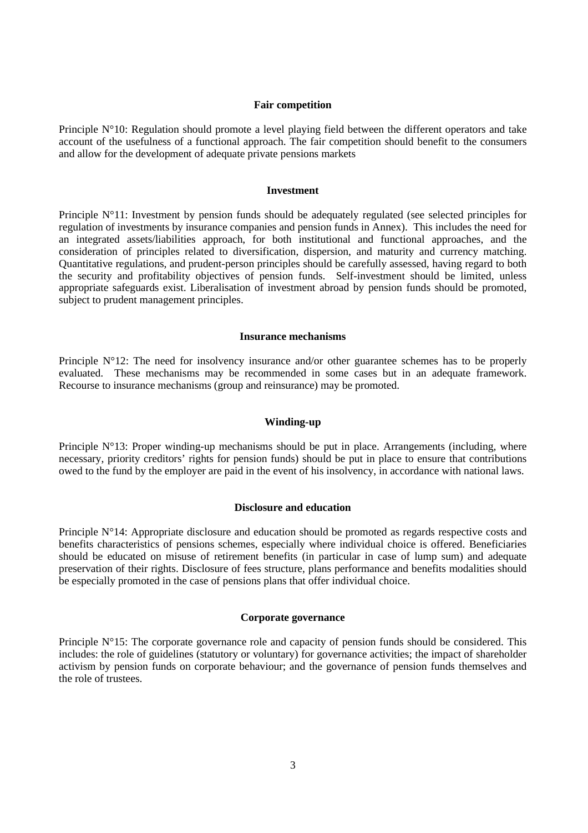### **Fair competition**

Principle N°10: Regulation should promote a level playing field between the different operators and take account of the usefulness of a functional approach. The fair competition should benefit to the consumers and allow for the development of adequate private pensions markets

#### **Investment**

Principle N°11: Investment by pension funds should be adequately regulated (see selected principles for regulation of investments by insurance companies and pension funds in Annex). This includes the need for an integrated assets/liabilities approach, for both institutional and functional approaches, and the consideration of principles related to diversification, dispersion, and maturity and currency matching. Quantitative regulations, and prudent-person principles should be carefully assessed, having regard to both the security and profitability objectives of pension funds. Self-investment should be limited, unless appropriate safeguards exist. Liberalisation of investment abroad by pension funds should be promoted, subject to prudent management principles.

### **Insurance mechanisms**

Principle N°12: The need for insolvency insurance and/or other guarantee schemes has to be properly evaluated. These mechanisms may be recommended in some cases but in an adequate framework. Recourse to insurance mechanisms (group and reinsurance) may be promoted.

### **Winding-up**

Principle  $N^{\circ}13$ : Proper winding-up mechanisms should be put in place. Arrangements (including, where necessary, priority creditors' rights for pension funds) should be put in place to ensure that contributions owed to the fund by the employer are paid in the event of his insolvency, in accordance with national laws.

### **Disclosure and education**

Principle N°14: Appropriate disclosure and education should be promoted as regards respective costs and benefits characteristics of pensions schemes, especially where individual choice is offered. Beneficiaries should be educated on misuse of retirement benefits (in particular in case of lump sum) and adequate preservation of their rights. Disclosure of fees structure, plans performance and benefits modalities should be especially promoted in the case of pensions plans that offer individual choice.

### **Corporate governance**

Principle  $N^{\circ}15$ : The corporate governance role and capacity of pension funds should be considered. This includes: the role of guidelines (statutory or voluntary) for governance activities; the impact of shareholder activism by pension funds on corporate behaviour; and the governance of pension funds themselves and the role of trustees.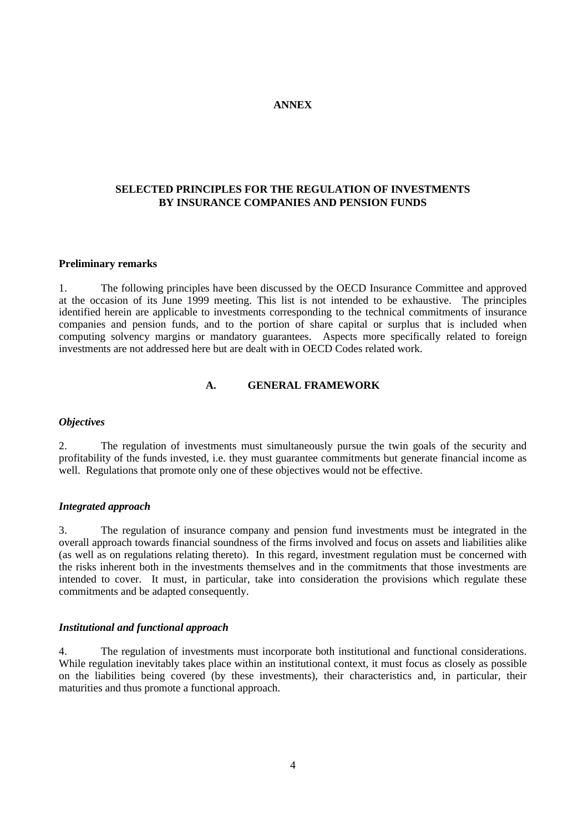# **ANNEX**

# **SELECTED PRINCIPLES FOR THE REGULATION OF INVESTMENTS BY INSURANCE COMPANIES AND PENSION FUNDS**

### **Preliminary remarks**

1. The following principles have been discussed by the OECD Insurance Committee and approved at the occasion of its June 1999 meeting. This list is not intended to be exhaustive. The principles identified herein are applicable to investments corresponding to the technical commitments of insurance companies and pension funds, and to the portion of share capital or surplus that is included when computing solvency margins or mandatory guarantees. Aspects more specifically related to foreign investments are not addressed here but are dealt with in OECD Codes related work.

# **A. GENERAL FRAMEWORK**

### *Objectives*

2. The regulation of investments must simultaneously pursue the twin goals of the security and profitability of the funds invested, i.e. they must guarantee commitments but generate financial income as well. Regulations that promote only one of these objectives would not be effective.

## *Integrated approach*

3. The regulation of insurance company and pension fund investments must be integrated in the overall approach towards financial soundness of the firms involved and focus on assets and liabilities alike (as well as on regulations relating thereto). In this regard, investment regulation must be concerned with the risks inherent both in the investments themselves and in the commitments that those investments are intended to cover. It must, in particular, take into consideration the provisions which regulate these commitments and be adapted consequently.

#### *Institutional and functional approach*

4. The regulation of investments must incorporate both institutional and functional considerations. While regulation inevitably takes place within an institutional context, it must focus as closely as possible on the liabilities being covered (by these investments), their characteristics and, in particular, their maturities and thus promote a functional approach.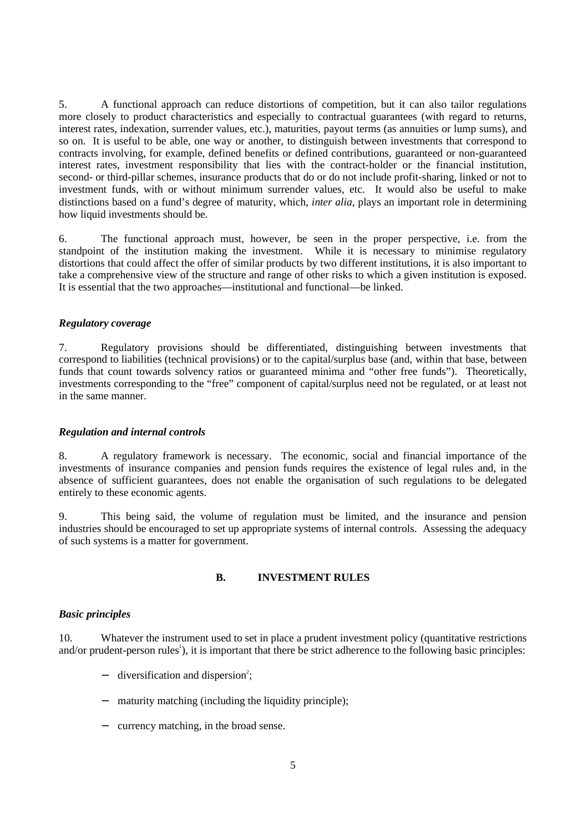5. A functional approach can reduce distortions of competition, but it can also tailor regulations more closely to product characteristics and especially to contractual guarantees (with regard to returns, interest rates, indexation, surrender values, etc.), maturities, payout terms (as annuities or lump sums), and so on. It is useful to be able, one way or another, to distinguish between investments that correspond to contracts involving, for example, defined benefits or defined contributions, guaranteed or non-guaranteed interest rates, investment responsibility that lies with the contract-holder or the financial institution, second- or third-pillar schemes, insurance products that do or do not include profit-sharing, linked or not to investment funds, with or without minimum surrender values, etc. It would also be useful to make distinctions based on a fund's degree of maturity, which, *inter alia*, plays an important role in determining how liquid investments should be.

6. The functional approach must, however, be seen in the proper perspective, i.e. from the standpoint of the institution making the investment. While it is necessary to minimise regulatory distortions that could affect the offer of similar products by two different institutions, it is also important to take a comprehensive view of the structure and range of other risks to which a given institution is exposed. It is essential that the two approaches—institutional and functional—be linked.

## *Regulatory coverage*

7. Regulatory provisions should be differentiated, distinguishing between investments that correspond to liabilities (technical provisions) or to the capital/surplus base (and, within that base, between funds that count towards solvency ratios or guaranteed minima and "other free funds"). Theoretically, investments corresponding to the "free" component of capital/surplus need not be regulated, or at least not in the same manner.

### *Regulation and internal controls*

8. A regulatory framework is necessary. The economic, social and financial importance of the investments of insurance companies and pension funds requires the existence of legal rules and, in the absence of sufficient guarantees, does not enable the organisation of such regulations to be delegated entirely to these economic agents.

9. This being said, the volume of regulation must be limited, and the insurance and pension industries should be encouraged to set up appropriate systems of internal controls. Assessing the adequacy of such systems is a matter for government.

# **B. INVESTMENT RULES**

# *Basic principles*

10. Whatever the instrument used to set in place a prudent investment policy (quantitative restrictions and/or prudent-person rules<sup>1</sup>), it is important that there be strict adherence to the following basic principles:

- − diversification and dispersion<sup>2</sup>;
- − maturity matching (including the liquidity principle);
- − currency matching, in the broad sense.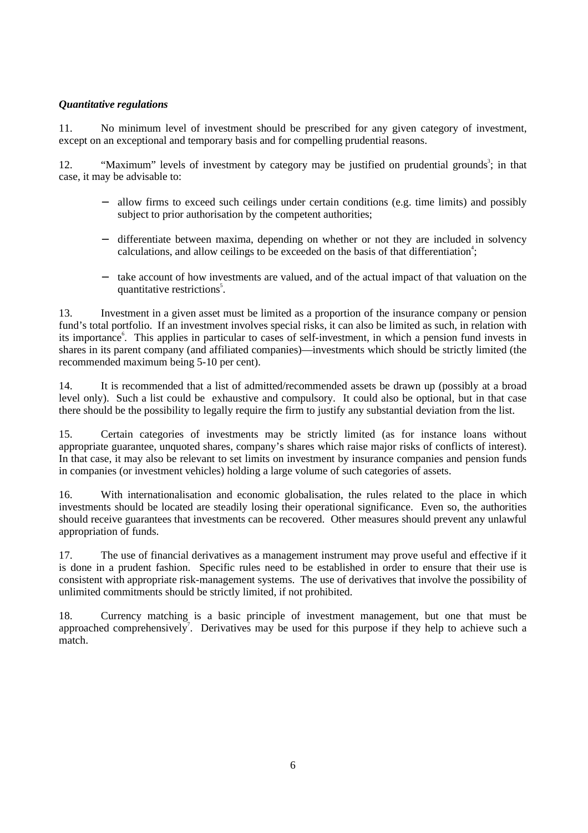# *Quantitative regulations*

11. No minimum level of investment should be prescribed for any given category of investment, except on an exceptional and temporary basis and for compelling prudential reasons.

12. "Maximum" levels of investment by category may be justified on prudential grounds<sup>3</sup>; in that case, it may be advisable to:

- − allow firms to exceed such ceilings under certain conditions (e.g. time limits) and possibly subject to prior authorisation by the competent authorities;
- differentiate between maxima, depending on whether or not they are included in solvency calculations, and allow ceilings to be exceeded on the basis of that differentiation<sup>4</sup>;
- take account of how investments are valued, and of the actual impact of that valuation on the quantitative restrictions<sup>5</sup>.

13. Investment in a given asset must be limited as a proportion of the insurance company or pension fund's total portfolio. If an investment involves special risks, it can also be limited as such, in relation with its importance<sup>6</sup>. This applies in particular to cases of self-investment, in which a pension fund invests in shares in its parent company (and affiliated companies)—investments which should be strictly limited (the recommended maximum being 5-10 per cent).

14. It is recommended that a list of admitted/recommended assets be drawn up (possibly at a broad level only). Such a list could be exhaustive and compulsory. It could also be optional, but in that case there should be the possibility to legally require the firm to justify any substantial deviation from the list.

15. Certain categories of investments may be strictly limited (as for instance loans without appropriate guarantee, unquoted shares, company's shares which raise major risks of conflicts of interest). In that case, it may also be relevant to set limits on investment by insurance companies and pension funds in companies (or investment vehicles) holding a large volume of such categories of assets.

16. With internationalisation and economic globalisation, the rules related to the place in which investments should be located are steadily losing their operational significance. Even so, the authorities should receive guarantees that investments can be recovered. Other measures should prevent any unlawful appropriation of funds.

17. The use of financial derivatives as a management instrument may prove useful and effective if it is done in a prudent fashion. Specific rules need to be established in order to ensure that their use is consistent with appropriate risk-management systems. The use of derivatives that involve the possibility of unlimited commitments should be strictly limited, if not prohibited.

18. Currency matching is a basic principle of investment management, but one that must be approached comprehensively<sup>7</sup>. Derivatives may be used for this purpose if they help to achieve such a match.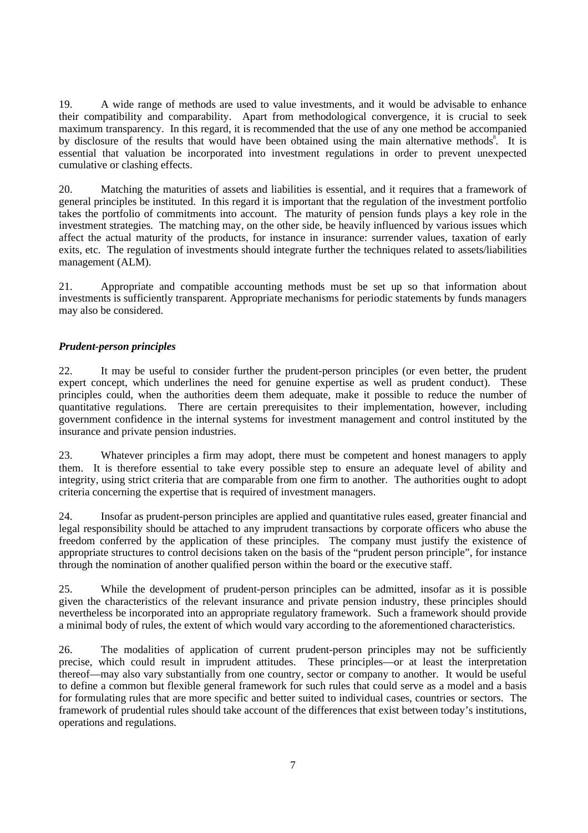19. A wide range of methods are used to value investments, and it would be advisable to enhance their compatibility and comparability. Apart from methodological convergence, it is crucial to seek maximum transparency. In this regard, it is recommended that the use of any one method be accompanied by disclosure of the results that would have been obtained using the main alternative methods<sup>8</sup>. It is essential that valuation be incorporated into investment regulations in order to prevent unexpected cumulative or clashing effects.

20. Matching the maturities of assets and liabilities is essential, and it requires that a framework of general principles be instituted. In this regard it is important that the regulation of the investment portfolio takes the portfolio of commitments into account. The maturity of pension funds plays a key role in the investment strategies. The matching may, on the other side, be heavily influenced by various issues which affect the actual maturity of the products, for instance in insurance: surrender values, taxation of early exits, etc. The regulation of investments should integrate further the techniques related to assets/liabilities management (ALM).

21. Appropriate and compatible accounting methods must be set up so that information about investments is sufficiently transparent. Appropriate mechanisms for periodic statements by funds managers may also be considered.

# *Prudent-person principles*

22. It may be useful to consider further the prudent-person principles (or even better, the prudent expert concept, which underlines the need for genuine expertise as well as prudent conduct). These principles could, when the authorities deem them adequate, make it possible to reduce the number of quantitative regulations. There are certain prerequisites to their implementation, however, including government confidence in the internal systems for investment management and control instituted by the insurance and private pension industries.

23. Whatever principles a firm may adopt, there must be competent and honest managers to apply them. It is therefore essential to take every possible step to ensure an adequate level of ability and integrity, using strict criteria that are comparable from one firm to another. The authorities ought to adopt criteria concerning the expertise that is required of investment managers.

24. Insofar as prudent-person principles are applied and quantitative rules eased, greater financial and legal responsibility should be attached to any imprudent transactions by corporate officers who abuse the freedom conferred by the application of these principles. The company must justify the existence of appropriate structures to control decisions taken on the basis of the "prudent person principle", for instance through the nomination of another qualified person within the board or the executive staff.

25. While the development of prudent-person principles can be admitted, insofar as it is possible given the characteristics of the relevant insurance and private pension industry, these principles should nevertheless be incorporated into an appropriate regulatory framework. Such a framework should provide a minimal body of rules, the extent of which would vary according to the aforementioned characteristics.

26. The modalities of application of current prudent-person principles may not be sufficiently precise, which could result in imprudent attitudes. These principles—or at least the interpretation thereof—may also vary substantially from one country, sector or company to another. It would be useful to define a common but flexible general framework for such rules that could serve as a model and a basis for formulating rules that are more specific and better suited to individual cases, countries or sectors. The framework of prudential rules should take account of the differences that exist between today's institutions, operations and regulations.